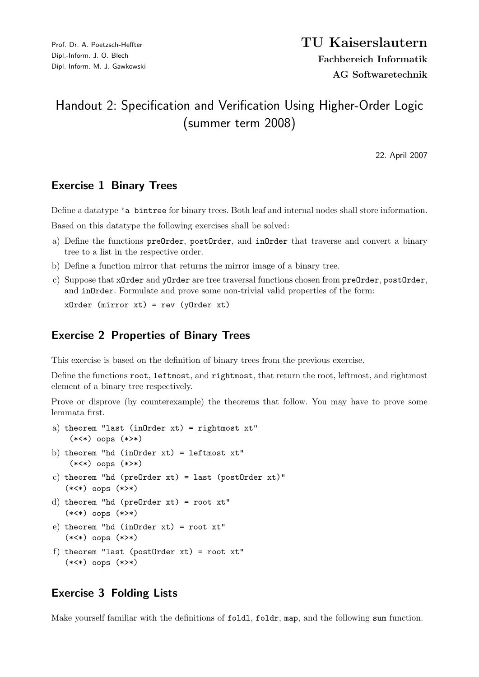## Handout 2: Specification and Verification Using Higher-Order Logic (summer term 2008)

22. April 2007

## Exercise 1 Binary Trees

Define a datatype 'a bintree for binary trees. Both leaf and internal nodes shall store information.

Based on this datatype the following exercises shall be solved:

- a) Define the functions preOrder, postOrder, and inOrder that traverse and convert a binary tree to a list in the respective order.
- b) Define a function mirror that returns the mirror image of a binary tree.
- c) Suppose that xOrder and yOrder are tree traversal functions chosen from preOrder, postOrder, and in Order. Formulate and prove some non-trivial valid properties of the form:

xOrder (mirror xt) = rev (yOrder xt)

## Exercise 2 Properties of Binary Trees

This exercise is based on the definition of binary trees from the previous exercise.

Define the functions root, leftmost, and rightmost, that return the root, leftmost, and rightmost element of a binary tree respectively.

Prove or disprove (by counterexample) the theorems that follow. You may have to prove some lemmata first.

```
a) theorem "last (inOrder xt) = rightmost xt"
    (*<*) oops (*>*)
```
- b) theorem "hd (in $Order$  xt) = leftmost  $xt$ " (\*<\*) oops (\*>\*)
- $c)$  theorem "hd (preOrder xt) = last (postOrder xt)" (\*<\*) oops (\*>\*)
- d) theorem "hd (preOrder xt) = root xt" (\*<\*) oops (\*>\*)
- e) theorem "hd (inOrder xt) = root xt" (\*<\*) oops (\*>\*)
- f) theorem "last (postOrder xt) = root xt" (\*<\*) oops (\*>\*)

## Exercise 3 Folding Lists

Make yourself familiar with the definitions of foldl, foldr, map, and the following sum function.